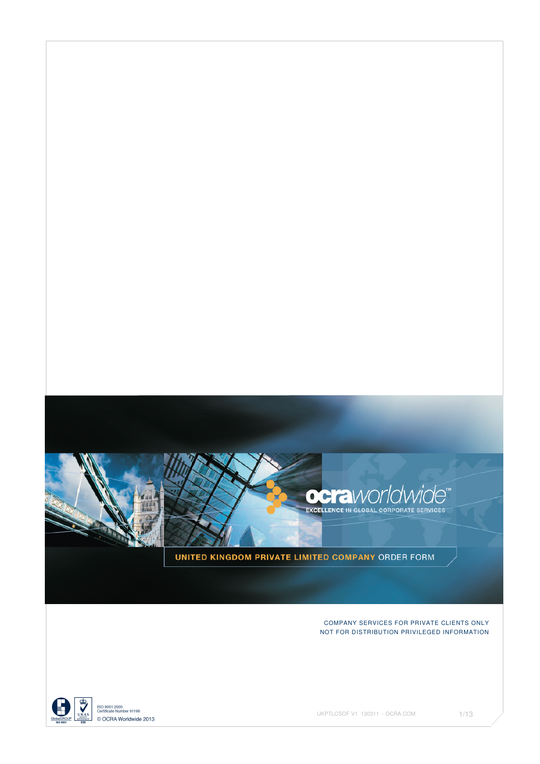

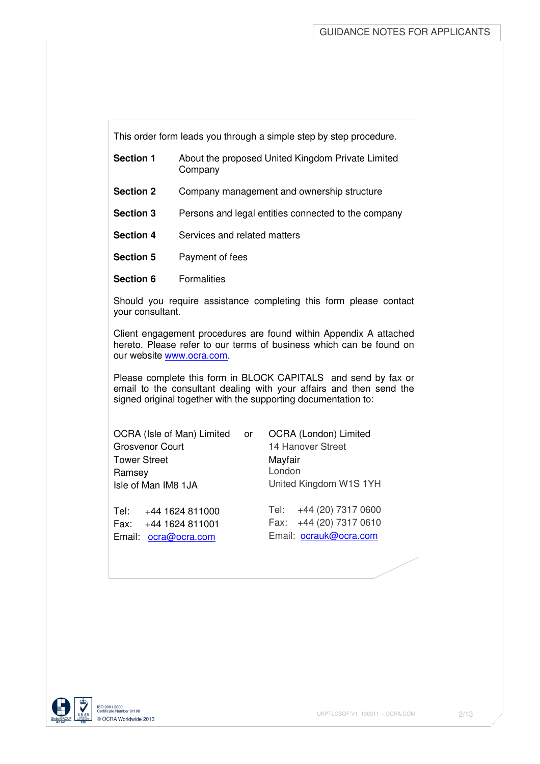This order form leads you through a simple step by step procedure.

- **Section 1** About the proposed United Kingdom Private Limited Company
- **Section 2** Company management and ownership structure
- **Section 3** Persons and legal entities connected to the company
- **Section 4** Services and related matters
- **Section 5** Payment of fees
- **Section 6** Formalities

Should you require assistance completing this form please contact your consultant.

Client engagement procedures are found within Appendix A attached hereto. Please refer to our terms of business which can be found on our website www.ocra.com.

Please complete this form in BLOCK CAPITALS and send by fax or email to the consultant dealing with your affairs and then send the signed original together with the supporting documentation to:

OCRA (Isle of Man) Limited or OCRA (London) Limited Grosvenor Court 14 Hanover Street Tower Street Mayfair Ramsey **London** Isle of Man IM8 1JA United Kingdom W1S 1YH

Email: ocra@ocra.com Email: ocrauk@ocra.com

Tel: +44 1624 811000 Tel: +44 (20) 7317 0600 Fax: +44 1624 811001 Fax: +44 (20) 7317 0610

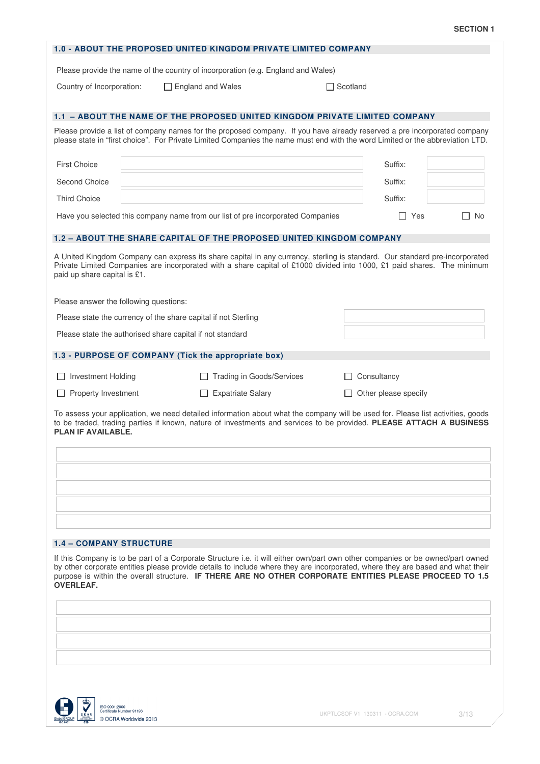|                                |                                                                | <b>1.0 - ABOUT THE PROPOSED UNITED KINGDOM PRIVATE LIMITED COMPANY</b>                                                                                                                                                                                                                                                                                                      |                 |                      |              |
|--------------------------------|----------------------------------------------------------------|-----------------------------------------------------------------------------------------------------------------------------------------------------------------------------------------------------------------------------------------------------------------------------------------------------------------------------------------------------------------------------|-----------------|----------------------|--------------|
|                                |                                                                | Please provide the name of the country of incorporation (e.g. England and Wales)                                                                                                                                                                                                                                                                                            |                 |                      |              |
| Country of Incorporation:      |                                                                | $\Box$ England and Wales                                                                                                                                                                                                                                                                                                                                                    | $\Box$ Scotland |                      |              |
|                                |                                                                | 1.1 - ABOUT THE NAME OF THE PROPOSED UNITED KINGDOM PRIVATE LIMITED COMPANY                                                                                                                                                                                                                                                                                                 |                 |                      |              |
|                                |                                                                | Please provide a list of company names for the proposed company. If you have already reserved a pre incorporated company<br>please state in "first choice". For Private Limited Companies the name must end with the word Limited or the abbreviation LTD.                                                                                                                  |                 |                      |              |
| <b>First Choice</b>            |                                                                |                                                                                                                                                                                                                                                                                                                                                                             |                 | Suffix:              |              |
| Second Choice                  |                                                                |                                                                                                                                                                                                                                                                                                                                                                             |                 | Suffix:              |              |
| <b>Third Choice</b>            |                                                                |                                                                                                                                                                                                                                                                                                                                                                             |                 | Suffix:              |              |
|                                |                                                                | Have you selected this company name from our list of pre incorporated Companies                                                                                                                                                                                                                                                                                             |                 | $\Box$ Yes           | $\Box$<br>No |
|                                |                                                                | <b>1.2 - ABOUT THE SHARE CAPITAL OF THE PROPOSED UNITED KINGDOM COMPANY</b>                                                                                                                                                                                                                                                                                                 |                 |                      |              |
| paid up share capital is £1.   |                                                                | A United Kingdom Company can express its share capital in any currency, sterling is standard. Our standard pre-incorporated<br>Private Limited Companies are incorporated with a share capital of £1000 divided into 1000, £1 paid shares. The minimum                                                                                                                      |                 |                      |              |
|                                | Please answer the following questions:                         |                                                                                                                                                                                                                                                                                                                                                                             |                 |                      |              |
|                                | Please state the currency of the share capital if not Sterling |                                                                                                                                                                                                                                                                                                                                                                             |                 |                      |              |
|                                | Please state the authorised share capital if not standard      |                                                                                                                                                                                                                                                                                                                                                                             |                 |                      |              |
|                                |                                                                | 1.3 - PURPOSE OF COMPANY (Tick the appropriate box)                                                                                                                                                                                                                                                                                                                         |                 |                      |              |
| <b>Investment Holding</b>      |                                                                | <b>Trading in Goods/Services</b>                                                                                                                                                                                                                                                                                                                                            |                 | Consultancy          |              |
| Property Investment            |                                                                | <b>Expatriate Salary</b><br>$\perp$                                                                                                                                                                                                                                                                                                                                         |                 | Other please specify |              |
| PLAN IF AVAILABLE.             |                                                                | To assess your application, we need detailed information about what the company will be used for. Please list activities, goods<br>to be traded, trading parties if known, nature of investments and services to be provided. PLEASE ATTACH A BUSINESS                                                                                                                      |                 |                      |              |
|                                |                                                                |                                                                                                                                                                                                                                                                                                                                                                             |                 |                      |              |
|                                |                                                                |                                                                                                                                                                                                                                                                                                                                                                             |                 |                      |              |
|                                |                                                                |                                                                                                                                                                                                                                                                                                                                                                             |                 |                      |              |
|                                |                                                                |                                                                                                                                                                                                                                                                                                                                                                             |                 |                      |              |
| <b>1.4 - COMPANY STRUCTURE</b> |                                                                |                                                                                                                                                                                                                                                                                                                                                                             |                 |                      |              |
| <b>OVERLEAF.</b>               |                                                                | If this Company is to be part of a Corporate Structure i.e. it will either own/part own other companies or be owned/part owned<br>by other corporate entities please provide details to include where they are incorporated, where they are based and what their<br>purpose is within the overall structure. IF THERE ARE NO OTHER CORPORATE ENTITIES PLEASE PROCEED TO 1.5 |                 |                      |              |
|                                |                                                                |                                                                                                                                                                                                                                                                                                                                                                             |                 |                      |              |
|                                |                                                                |                                                                                                                                                                                                                                                                                                                                                                             |                 |                      |              |
|                                |                                                                |                                                                                                                                                                                                                                                                                                                                                                             |                 |                      |              |
|                                |                                                                |                                                                                                                                                                                                                                                                                                                                                                             |                 |                      |              |
|                                |                                                                |                                                                                                                                                                                                                                                                                                                                                                             |                 |                      |              |

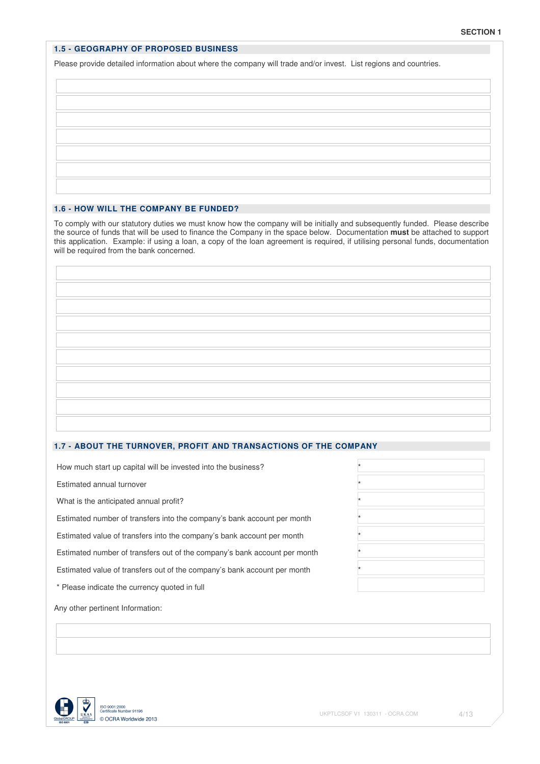### **1.5 - GEOGRAPHY OF PROPOSED BUSINESS**

Please provide detailed information about where the company will trade and/or invest. List regions and countries.

### **1.6 - HOW WILL THE COMPANY BE FUNDED?**

To comply with our statutory duties we must know how the company will be initially and subsequently funded. Please describe the source of funds that will be used to finance the Company in the space below. Documentation **must** be attached to support this application. Example: if using a loan, a copy of the loan agreement is required, if utilising personal funds, documentation will be required from the bank concerned.

# **1.7 - ABOUT THE TURNOVER, PROFIT AND TRANSACTIONS OF THE COMPANY**

How much start up capital will be invested into the business? \*

Estimated annual turnover \*

What is the anticipated annual profit?

Estimated number of transfers into the company's bank account per month \*

Estimated value of transfers into the company's bank account per month \*

Estimated number of transfers out of the company's bank account per month \*

Estimated value of transfers out of the company's bank account per month \*

\* Please indicate the currency quoted in full

Any other pertinent Information:

|                 | UKAS |
|-----------------|------|
| GlobalGROUP     |      |
| <b>ISO 9001</b> | ٥    |

| t |  |
|---|--|
| t |  |
| t |  |
| t |  |
| t |  |
| t |  |
| t |  |
|   |  |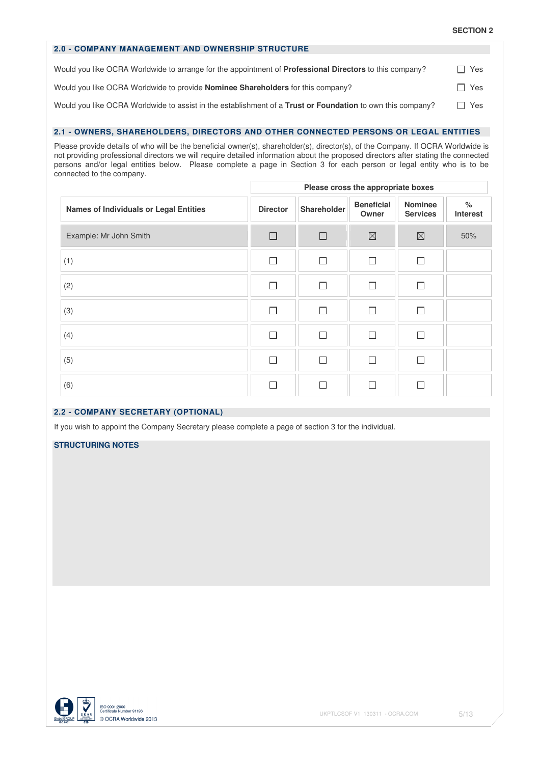| <b>SECTION 2</b> |  |  |
|------------------|--|--|
|------------------|--|--|

| <b>2.0 - COMPANY MANAGEMENT AND OWNERSHIP STRUCTURE</b>                                                           |            |
|-------------------------------------------------------------------------------------------------------------------|------------|
| Would you like OCRA Worldwide to arrange for the appointment of <b>Professional Directors</b> to this company?    | $\Box$ Yes |
| Would you like OCRA Worldwide to provide <b>Nominee Shareholders</b> for this company?                            | $\Box$ Yes |
| Would you like OCRA Worldwide to assist in the establishment of a <b>Trust or Foundation</b> to own this company? | $\Box$ Yes |

# **2.1 - OWNERS, SHAREHOLDERS, DIRECTORS AND OTHER CONNECTED PERSONS OR LEGAL ENTITIES**

Please provide details of who will be the beneficial owner(s), shareholder(s), director(s), of the Company. If OCRA Worldwide is not providing professional directors we will require detailed information about the proposed directors after stating the connected persons and/or legal entities below. Please complete a page in Section 3 for each person or legal entity who is to be connected to the company.

|                                        | Please cross the appropriate boxes |             |                            |                                   |                         |  |  |  |
|----------------------------------------|------------------------------------|-------------|----------------------------|-----------------------------------|-------------------------|--|--|--|
| Names of Individuals or Legal Entities | <b>Director</b>                    | Shareholder | <b>Beneficial</b><br>Owner | <b>Nominee</b><br><b>Services</b> | $\%$<br><b>Interest</b> |  |  |  |
| Example: Mr John Smith                 | П                                  | П           | $\boxtimes$                | $\boxtimes$                       | 50%                     |  |  |  |
| (1)                                    |                                    | П           | П                          | П                                 |                         |  |  |  |
| (2)                                    |                                    | П           | П                          | П                                 |                         |  |  |  |
| (3)                                    |                                    | П           | П                          | П                                 |                         |  |  |  |
| (4)                                    | $\sim$                             | П           | П                          | П                                 |                         |  |  |  |
| (5)                                    |                                    | П           | П                          | П                                 |                         |  |  |  |
| (6)                                    |                                    |             | <b>COL</b>                 | П                                 |                         |  |  |  |

# **2.2 - COMPANY SECRETARY (OPTIONAL)**

If you wish to appoint the Company Secretary please complete a page of section 3 for the individual.

# **STRUCTURING NOTES**

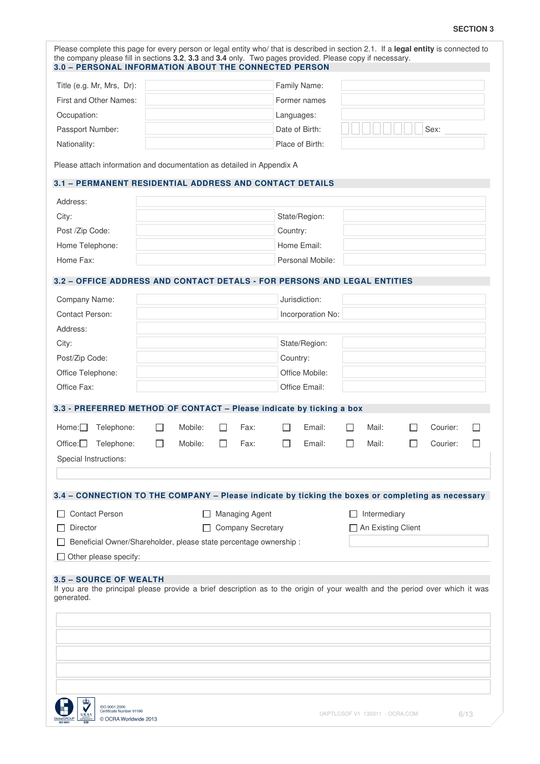### **SECTION 3**

| Title (e.g. Mr, Mrs, Dr):                                                                                                                              |         |                          |            | Family Name:      |                      |          |  |
|--------------------------------------------------------------------------------------------------------------------------------------------------------|---------|--------------------------|------------|-------------------|----------------------|----------|--|
| First and Other Names:                                                                                                                                 |         |                          |            | Former names      |                      |          |  |
|                                                                                                                                                        |         |                          |            |                   |                      |          |  |
| Occupation:                                                                                                                                            |         |                          | Languages: | Date of Birth:    |                      |          |  |
| Passport Number:                                                                                                                                       |         |                          |            |                   |                      | Sex:     |  |
| Nationality:<br>Please attach information and documentation as detailed in Appendix A                                                                  |         |                          |            | Place of Birth:   |                      |          |  |
| 3.1 - PERMANENT RESIDENTIAL ADDRESS AND CONTACT DETAILS                                                                                                |         |                          |            |                   |                      |          |  |
| Address:                                                                                                                                               |         |                          |            |                   |                      |          |  |
| City:                                                                                                                                                  |         |                          |            | State/Region:     |                      |          |  |
| Post /Zip Code:                                                                                                                                        |         |                          | Country:   |                   |                      |          |  |
| Home Telephone:                                                                                                                                        |         |                          |            | Home Email:       |                      |          |  |
| Home Fax:                                                                                                                                              |         |                          |            | Personal Mobile:  |                      |          |  |
| 3.2 - OFFICE ADDRESS AND CONTACT DETALS - FOR PERSONS AND LEGAL ENTITIES                                                                               |         |                          |            |                   |                      |          |  |
|                                                                                                                                                        |         |                          |            |                   |                      |          |  |
| Company Name:<br>Contact Person:                                                                                                                       |         |                          |            | Jurisdiction:     |                      |          |  |
| Address:                                                                                                                                               |         |                          |            | Incorporation No: |                      |          |  |
| City:                                                                                                                                                  |         |                          |            | State/Region:     |                      |          |  |
| Post/Zip Code:                                                                                                                                         |         |                          | Country:   |                   |                      |          |  |
| Office Telephone:                                                                                                                                      |         |                          |            | Office Mobile:    |                      |          |  |
| Office Fax:                                                                                                                                            |         |                          |            | Office Email:     |                      |          |  |
| 3.3 - PREFERRED METHOD OF CONTACT - Please indicate by ticking a box                                                                                   |         |                          |            |                   |                      |          |  |
| Home:<br>Telephone:                                                                                                                                    | Mobile: | Fax:                     |            | Email:            | Mail:                | Courier: |  |
| Office:<br>Telephone:                                                                                                                                  | Mobile: | Fax:                     |            | Email:            | Mail:                | Courier: |  |
| Special Instructions:                                                                                                                                  |         |                          |            |                   |                      |          |  |
|                                                                                                                                                        |         |                          |            |                   |                      |          |  |
| 3.4 - CONNECTION TO THE COMPANY - Please indicate by ticking the boxes or completing as necessary<br><b>Contact Person</b>                             |         | <b>Managing Agent</b>    |            |                   | $\Box$ Intermediary  |          |  |
| Director                                                                                                                                               |         | <b>Company Secretary</b> |            |                   | □ An Existing Client |          |  |
| Beneficial Owner/Shareholder, please state percentage ownership :                                                                                      |         |                          |            |                   |                      |          |  |
| Other please specify:                                                                                                                                  |         |                          |            |                   |                      |          |  |
|                                                                                                                                                        |         |                          |            |                   |                      |          |  |
| 3.5 - SOURCE OF WEALTH<br>If you are the principal please provide a brief description as to the origin of your wealth and the period over which it was |         |                          |            |                   |                      |          |  |
| generated.                                                                                                                                             |         |                          |            |                   |                      |          |  |
|                                                                                                                                                        |         |                          |            |                   |                      |          |  |
|                                                                                                                                                        |         |                          |            |                   |                      |          |  |
|                                                                                                                                                        |         |                          |            |                   |                      |          |  |
|                                                                                                                                                        |         |                          |            |                   |                      |          |  |
|                                                                                                                                                        |         |                          |            |                   |                      |          |  |
|                                                                                                                                                        |         |                          |            |                   |                      |          |  |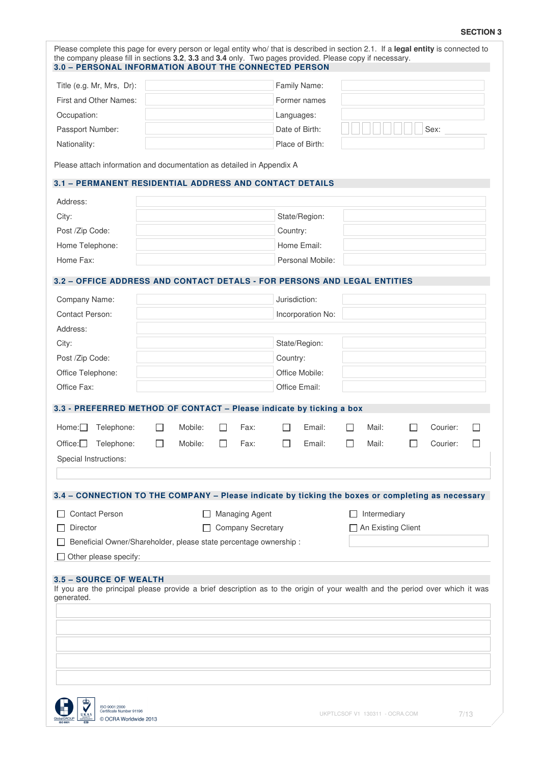#### **SECTION 3**

| Title (e.g. Mr, Mrs, Dr):<br>First and Other Names:                                               |                                                                   |         |    |                       |                | Family Name:      |              |                      |              |          |              |
|---------------------------------------------------------------------------------------------------|-------------------------------------------------------------------|---------|----|-----------------------|----------------|-------------------|--------------|----------------------|--------------|----------|--------------|
|                                                                                                   |                                                                   |         |    |                       |                | Former names      |              |                      |              |          |              |
|                                                                                                   |                                                                   |         |    |                       |                |                   |              |                      |              |          |              |
| Occupation:                                                                                       |                                                                   |         |    |                       | Languages:     |                   |              |                      |              |          |              |
| Passport Number:                                                                                  |                                                                   |         |    |                       |                | Date of Birth:    |              |                      |              | Sex:     |              |
| Nationality:                                                                                      |                                                                   |         |    |                       |                | Place of Birth:   |              |                      |              |          |              |
| Please attach information and documentation as detailed in Appendix A                             |                                                                   |         |    |                       |                |                   |              |                      |              |          |              |
| 3.1 - PERMANENT RESIDENTIAL ADDRESS AND CONTACT DETAILS                                           |                                                                   |         |    |                       |                |                   |              |                      |              |          |              |
| Address:                                                                                          |                                                                   |         |    |                       |                |                   |              |                      |              |          |              |
| City:                                                                                             |                                                                   |         |    |                       |                | State/Region:     |              |                      |              |          |              |
| Post /Zip Code:                                                                                   |                                                                   |         |    |                       | Country:       |                   |              |                      |              |          |              |
| Home Telephone:                                                                                   |                                                                   |         |    |                       |                | Home Email:       |              |                      |              |          |              |
| Home Fax:                                                                                         |                                                                   |         |    |                       |                | Personal Mobile:  |              |                      |              |          |              |
| 3.2 - OFFICE ADDRESS AND CONTACT DETALS - FOR PERSONS AND LEGAL ENTITIES                          |                                                                   |         |    |                       |                |                   |              |                      |              |          |              |
| Company Name:                                                                                     |                                                                   |         |    |                       | Jurisdiction:  |                   |              |                      |              |          |              |
| Contact Person:                                                                                   |                                                                   |         |    |                       |                | Incorporation No: |              |                      |              |          |              |
| Address:                                                                                          |                                                                   |         |    |                       |                |                   |              |                      |              |          |              |
| City:                                                                                             |                                                                   |         |    |                       |                | State/Region:     |              |                      |              |          |              |
| Post /Zip Code:                                                                                   |                                                                   |         |    |                       | Country:       |                   |              |                      |              |          |              |
| Office Telephone:                                                                                 |                                                                   |         |    |                       | Office Mobile: |                   |              |                      |              |          |              |
| Office Fax:                                                                                       |                                                                   |         |    |                       |                | Office Email:     |              |                      |              |          |              |
|                                                                                                   |                                                                   |         |    |                       |                |                   |              |                      |              |          |              |
| 3.3 - PREFERRED METHOD OF CONTACT - Please indicate by ticking a box                              |                                                                   |         |    |                       |                |                   |              |                      |              |          |              |
| Home:<br>Telephone:                                                                               | $\Box$                                                            | Mobile: |    | Fax:                  |                | Email:            | $\mathsf{L}$ | Mail:                |              | Courier: |              |
| Office:<br>Telephone:                                                                             | $\Box$                                                            | Mobile: | ΙI | Fax:                  |                | Email:            | П            | Mail:                | $\mathsf{L}$ | Courier: | $\mathbf{I}$ |
| Special Instructions:                                                                             |                                                                   |         |    |                       |                |                   |              |                      |              |          |              |
|                                                                                                   |                                                                   |         |    |                       |                |                   |              |                      |              |          |              |
| 3.4 - CONNECTION TO THE COMPANY - Please indicate by ticking the boxes or completing as necessary |                                                                   |         |    |                       |                |                   |              |                      |              |          |              |
| <b>Contact Person</b>                                                                             |                                                                   |         |    | <b>Managing Agent</b> |                |                   |              | Intermediary         |              |          |              |
| <b>Company Secretary</b>                                                                          |                                                                   |         |    |                       |                |                   |              | □ An Existing Client |              |          |              |
| Director                                                                                          | Beneficial Owner/Shareholder, please state percentage ownership : |         |    |                       |                |                   |              |                      |              |          |              |
|                                                                                                   |                                                                   |         |    |                       |                |                   |              |                      |              |          |              |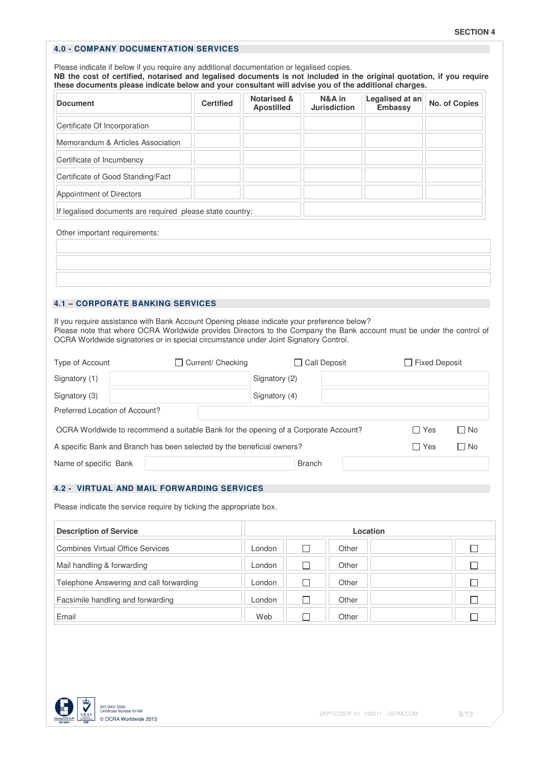# **4.0 - COMPANY DOCUMENTATION SERVICES**

Please indicate if below if you require any additional documentation or legalised copies. **NB the cost of certified, notarised and legalised documents is not included in the original quotation, if you require these documents please indicate below and your consultant will advise you of the additional charges. Document Certified Notarised &** <br> **Document Certified Apple 2014 Apostilled N&A in Jurisdiction Legalised at an No. of Copies** Certificate Of Incorporation Memorandum & Articles Association Certificate of Incumbency Certificate of Good Standing/Fact Appointment of Directors If legalised documents are required please state country: Other important requirements:

### **4.1 – CORPORATE BANKING SERVICES**

If you require assistance with Bank Account Opening please indicate your preference below? Please note that where OCRA Worldwide provides Directors to the Company the Bank account must be under the control of OCRA Worldwide signatories or in special circumstance under Joint Signatory Control.

| Type of Account                                                                                           | Current/ Checking<br>$\mathbf{I}$                                      | Call Deposit  |  | $\Box$ Fixed Deposit |           |
|-----------------------------------------------------------------------------------------------------------|------------------------------------------------------------------------|---------------|--|----------------------|-----------|
| Signatory (1)                                                                                             |                                                                        | Signatory (2) |  |                      |           |
| Signatory (3)                                                                                             |                                                                        | Signatory (4) |  |                      |           |
| Preferred Location of Account?                                                                            |                                                                        |               |  |                      |           |
| $\Box$ No<br>∩ Yes<br>OCRA Worldwide to recommend a suitable Bank for the opening of a Corporate Account? |                                                                        |               |  |                      |           |
|                                                                                                           | A specific Bank and Branch has been selected by the beneficial owners? |               |  | □ Yes                | $\Box$ No |
| Name of specific Bank                                                                                     |                                                                        | <b>Branch</b> |  |                      |           |

#### **4.2 - VIRTUAL AND MAIL FORWARDING SERVICES**

Please indicate the service require by ticking the appropriate box.

| <b>Description of Service</b>           |        |       | Location |  |
|-----------------------------------------|--------|-------|----------|--|
| <b>Combines Virtual Office Services</b> | London | Other |          |  |
| Mail handling & forwarding              | London | Other |          |  |
| Telephone Answering and call forwarding | London | Other |          |  |
| Facsimile handling and forwarding       | London | Other |          |  |
| Email                                   | Web    | Other |          |  |

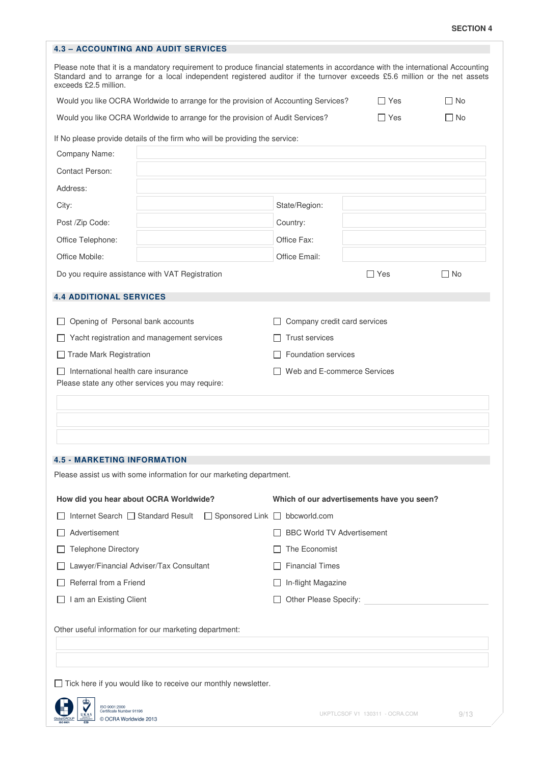| <b>SECTION 4</b> |  |
|------------------|--|
|------------------|--|

| <b>4.3 - ACCOUNTING AND AUDIT SERVICES</b>                                                                                                                                                                                                                                           |                                            |                                                         |           |  |  |  |  |
|--------------------------------------------------------------------------------------------------------------------------------------------------------------------------------------------------------------------------------------------------------------------------------------|--------------------------------------------|---------------------------------------------------------|-----------|--|--|--|--|
| Please note that it is a mandatory requirement to produce financial statements in accordance with the international Accounting<br>Standard and to arrange for a local independent registered auditor if the turnover exceeds £5.6 million or the net assets<br>exceeds £2.5 million. |                                            |                                                         |           |  |  |  |  |
| Would you like OCRA Worldwide to arrange for the provision of Accounting Services?                                                                                                                                                                                                   |                                            | ∏ Yes                                                   | $\Box$ No |  |  |  |  |
| Would you like OCRA Worldwide to arrange for the provision of Audit Services?                                                                                                                                                                                                        | $\Box$ No                                  |                                                         |           |  |  |  |  |
| If No please provide details of the firm who will be providing the service:                                                                                                                                                                                                          |                                            |                                                         |           |  |  |  |  |
| Company Name:                                                                                                                                                                                                                                                                        |                                            |                                                         |           |  |  |  |  |
| Contact Person:                                                                                                                                                                                                                                                                      |                                            |                                                         |           |  |  |  |  |
| Address:                                                                                                                                                                                                                                                                             |                                            |                                                         |           |  |  |  |  |
| City:                                                                                                                                                                                                                                                                                | State/Region:                              |                                                         |           |  |  |  |  |
| Post /Zip Code:                                                                                                                                                                                                                                                                      | Country:                                   |                                                         |           |  |  |  |  |
| Office Telephone:                                                                                                                                                                                                                                                                    | Office Fax:                                |                                                         |           |  |  |  |  |
| Office Mobile:                                                                                                                                                                                                                                                                       | Office Email:                              |                                                         |           |  |  |  |  |
| Do you require assistance with VAT Registration                                                                                                                                                                                                                                      |                                            | $\Box$ Yes                                              | $\Box$ No |  |  |  |  |
| <b>4.4 ADDITIONAL SERVICES</b>                                                                                                                                                                                                                                                       |                                            |                                                         |           |  |  |  |  |
| Opening of Personal bank accounts                                                                                                                                                                                                                                                    | Company credit card services               |                                                         |           |  |  |  |  |
| Yacht registration and management services                                                                                                                                                                                                                                           | <b>Trust services</b>                      |                                                         |           |  |  |  |  |
| $\Box$ Trade Mark Registration                                                                                                                                                                                                                                                       |                                            | Foundation services                                     |           |  |  |  |  |
| International health care insurance<br>Please state any other services you may require:                                                                                                                                                                                              |                                            | Web and E-commerce Services                             |           |  |  |  |  |
|                                                                                                                                                                                                                                                                                      |                                            |                                                         |           |  |  |  |  |
|                                                                                                                                                                                                                                                                                      |                                            |                                                         |           |  |  |  |  |
|                                                                                                                                                                                                                                                                                      |                                            |                                                         |           |  |  |  |  |
| <b>4.5 - MARKETING INFORMATION</b>                                                                                                                                                                                                                                                   |                                            |                                                         |           |  |  |  |  |
| Please assist us with some information for our marketing department.                                                                                                                                                                                                                 |                                            |                                                         |           |  |  |  |  |
| How did you hear about OCRA Worldwide?                                                                                                                                                                                                                                               | Which of our advertisements have you seen? |                                                         |           |  |  |  |  |
| Internet Search □ Standard Result                                                                                                                                                                                                                                                    | $\Box$ Sponsored Link $\Box$ bbcworld.com  |                                                         |           |  |  |  |  |
| Advertisement                                                                                                                                                                                                                                                                        |                                            | <b>BBC World TV Advertisement</b>                       |           |  |  |  |  |
| <b>Telephone Directory</b>                                                                                                                                                                                                                                                           | The Economist                              |                                                         |           |  |  |  |  |
| Lawyer/Financial Adviser/Tax Consultant                                                                                                                                                                                                                                              | <b>Financial Times</b>                     |                                                         |           |  |  |  |  |
| Referral from a Friend                                                                                                                                                                                                                                                               | In-flight Magazine                         |                                                         |           |  |  |  |  |
| I am an Existing Client                                                                                                                                                                                                                                                              |                                            | Other Please Specify: Network and Superior Section 1997 |           |  |  |  |  |
| Other useful information for our marketing department:                                                                                                                                                                                                                               |                                            |                                                         |           |  |  |  |  |
|                                                                                                                                                                                                                                                                                      |                                            |                                                         |           |  |  |  |  |
| $\Box$ Tick here if you would like to receive our monthly newsletter.                                                                                                                                                                                                                |                                            |                                                         |           |  |  |  |  |
| da,<br>ISO 9001:2000<br>Certificate Number 91196<br>© OCRA Worldwide 2013                                                                                                                                                                                                            |                                            | UKPTLCSOF V1 130311 - OCRA.COM                          | 9/13      |  |  |  |  |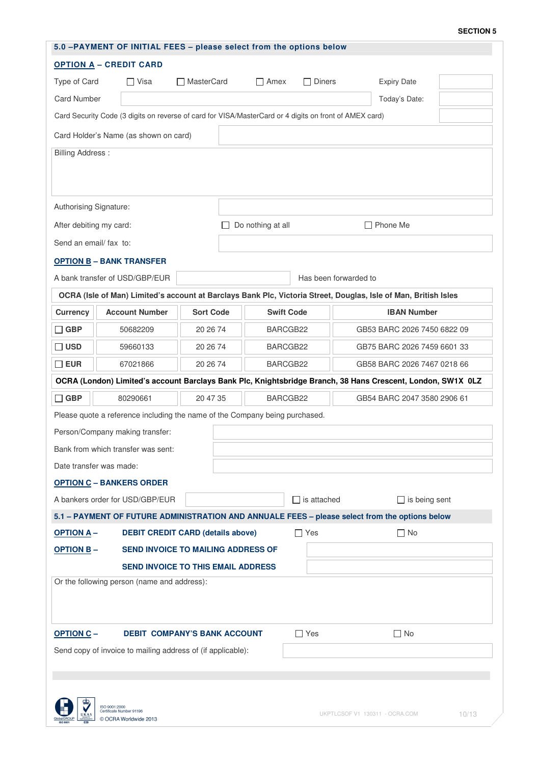#### **SECTION 5**

| 5.0 -PAYMENT OF INITIAL FEES - please select from the options below                                          |                                                                                                                 |                     |                                      |                    |                       |                             |  |  |  |  |
|--------------------------------------------------------------------------------------------------------------|-----------------------------------------------------------------------------------------------------------------|---------------------|--------------------------------------|--------------------|-----------------------|-----------------------------|--|--|--|--|
| <b>OPTION A - CREDIT CARD</b>                                                                                |                                                                                                                 |                     |                                      |                    |                       |                             |  |  |  |  |
| Type of Card<br>$\Box$ Visa                                                                                  |                                                                                                                 | <b>□ MasterCard</b> | $\Box$ Amex                          | $\Box$ Diners      |                       | <b>Expiry Date</b>          |  |  |  |  |
| <b>Card Number</b>                                                                                           |                                                                                                                 |                     |                                      |                    |                       | Today's Date:               |  |  |  |  |
| Card Security Code (3 digits on reverse of card for VISA/MasterCard or 4 digits on front of AMEX card)       |                                                                                                                 |                     |                                      |                    |                       |                             |  |  |  |  |
| Card Holder's Name (as shown on card)                                                                        |                                                                                                                 |                     |                                      |                    |                       |                             |  |  |  |  |
| <b>Billing Address:</b>                                                                                      |                                                                                                                 |                     |                                      |                    |                       |                             |  |  |  |  |
|                                                                                                              |                                                                                                                 |                     |                                      |                    |                       |                             |  |  |  |  |
|                                                                                                              |                                                                                                                 |                     |                                      |                    |                       |                             |  |  |  |  |
| Authorising Signature:                                                                                       |                                                                                                                 |                     |                                      |                    |                       |                             |  |  |  |  |
| After debiting my card:                                                                                      |                                                                                                                 |                     | Do nothing at all<br>$\Box$ Phone Me |                    |                       |                             |  |  |  |  |
| Send an email/ fax to:                                                                                       |                                                                                                                 |                     |                                      |                    |                       |                             |  |  |  |  |
|                                                                                                              | <b>OPTION B-BANK TRANSFER</b>                                                                                   |                     |                                      |                    |                       |                             |  |  |  |  |
|                                                                                                              | A bank transfer of USD/GBP/EUR                                                                                  |                     |                                      |                    | Has been forwarded to |                             |  |  |  |  |
|                                                                                                              | OCRA (Isle of Man) Limited's account at Barclays Bank Plc, Victoria Street, Douglas, Isle of Man, British Isles |                     |                                      |                    |                       |                             |  |  |  |  |
| <b>Currency</b>                                                                                              | <b>Account Number</b>                                                                                           | <b>Sort Code</b>    |                                      | <b>Swift Code</b>  |                       | <b>IBAN Number</b>          |  |  |  |  |
| $\Box$ GBP                                                                                                   | 50682209                                                                                                        | 20 26 74            |                                      | BARCGB22           |                       | GB53 BARC 2026 7450 6822 09 |  |  |  |  |
| □ USD                                                                                                        | 59660133                                                                                                        | 20 26 74            |                                      | BARCGB22           |                       | GB75 BARC 2026 7459 6601 33 |  |  |  |  |
| $\square$ EUR                                                                                                | 67021866                                                                                                        | 20 26 74            |                                      | BARCGB22           |                       | GB58 BARC 2026 7467 0218 66 |  |  |  |  |
|                                                                                                              | OCRA (London) Limited's account Barclays Bank Plc, Knightsbridge Branch, 38 Hans Crescent, London, SW1X 0LZ     |                     |                                      |                    |                       |                             |  |  |  |  |
| $\Box$ GBP                                                                                                   | 80290661                                                                                                        | 20 47 35            |                                      | BARCGB22           |                       | GB54 BARC 2047 3580 2906 61 |  |  |  |  |
|                                                                                                              | Please quote a reference including the name of the Company being purchased.                                     |                     |                                      |                    |                       |                             |  |  |  |  |
| Person/Company making transfer:                                                                              |                                                                                                                 |                     |                                      |                    |                       |                             |  |  |  |  |
|                                                                                                              | Bank from which transfer was sent:                                                                              |                     |                                      |                    |                       |                             |  |  |  |  |
|                                                                                                              | Date transfer was made:                                                                                         |                     |                                      |                    |                       |                             |  |  |  |  |
|                                                                                                              | <b>OPTION C - BANKERS ORDER</b>                                                                                 |                     |                                      |                    |                       |                             |  |  |  |  |
|                                                                                                              | A bankers order for USD/GBP/EUR                                                                                 |                     |                                      | $\Box$ is attached |                       | $\Box$ is being sent        |  |  |  |  |
|                                                                                                              | 5.1 - PAYMENT OF FUTURE ADMINISTRATION AND ANNUALE FEES - please select from the options below                  |                     |                                      |                    |                       |                             |  |  |  |  |
| <b>DEBIT CREDIT CARD (details above)</b><br><b>OPTION A-</b>                                                 |                                                                                                                 |                     |                                      | $\Box$ Yes         |                       | $\square$ No                |  |  |  |  |
| SEND INVOICE TO MAILING ADDRESS OF<br><b>OPTION B-</b>                                                       |                                                                                                                 |                     |                                      |                    |                       |                             |  |  |  |  |
| <b>SEND INVOICE TO THIS EMAIL ADDRESS</b>                                                                    |                                                                                                                 |                     |                                      |                    |                       |                             |  |  |  |  |
| Or the following person (name and address):                                                                  |                                                                                                                 |                     |                                      |                    |                       |                             |  |  |  |  |
|                                                                                                              |                                                                                                                 |                     |                                      |                    |                       |                             |  |  |  |  |
|                                                                                                              |                                                                                                                 |                     |                                      |                    |                       |                             |  |  |  |  |
| <b>OPTION C-</b><br><b>DEBIT COMPANY'S BANK ACCOUNT</b>                                                      |                                                                                                                 |                     |                                      | $\Box$ Yes         |                       | $\Box$ No                   |  |  |  |  |
| Send copy of invoice to mailing address of (if applicable):                                                  |                                                                                                                 |                     |                                      |                    |                       |                             |  |  |  |  |
|                                                                                                              |                                                                                                                 |                     |                                      |                    |                       |                             |  |  |  |  |
|                                                                                                              |                                                                                                                 |                     |                                      |                    |                       |                             |  |  |  |  |
| ISO 9001:2000<br>ertificate Number 91196<br>UKPTLCSOF V1 130311 - OCRA.COM<br>10/13<br>© OCRA Worldwide 2013 |                                                                                                                 |                     |                                      |                    |                       |                             |  |  |  |  |
|                                                                                                              |                                                                                                                 |                     |                                      |                    |                       |                             |  |  |  |  |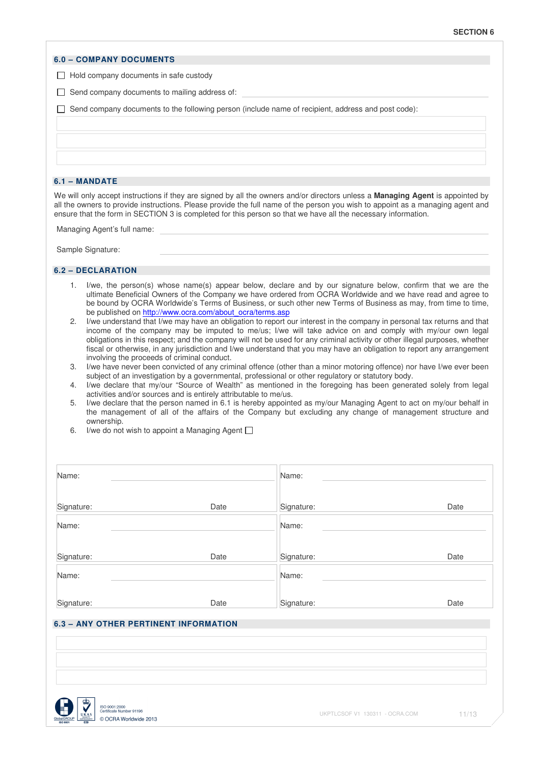#### **6.0 – COMPANY DOCUMENTS**

 $\Box$  Hold company documents in safe custody

 $\Box$  Send company documents to mailing address of:

 $\Box$  Send company documents to the following person (include name of recipient, address and post code):

#### **6.1 – MANDATE**

We will only accept instructions if they are signed by all the owners and/or directors unless a **Managing Agent** is appointed by all the owners to provide instructions. Please provide the full name of the person you wish to appoint as a managing agent and ensure that the form in SECTION 3 is completed for this person so that we have all the necessary information.

Managing Agent's full name:

Sample Signature:

#### **6.2 – DECLARATION**

- 1. I/we, the person(s) whose name(s) appear below, declare and by our signature below, confirm that we are the ultimate Beneficial Owners of the Company we have ordered from OCRA Worldwide and we have read and agree to be bound by OCRA Worldwide's Terms of Business, or such other new Terms of Business as may, from time to time, be published on http://www.ocra.com/about\_ocra/terms.asp
- 2. I/we understand that I/we may have an obligation to report our interest in the company in personal tax returns and that income of the company may be imputed to me/us; I/we will take advice on and comply with my/our own legal obligations in this respect; and the company will not be used for any criminal activity or other illegal purposes, whether fiscal or otherwise, in any jurisdiction and I/we understand that you may have an obligation to report any arrangement involving the proceeds of criminal conduct.
- 3. I/we have never been convicted of any criminal offence (other than a minor motoring offence) nor have I/we ever been subject of an investigation by a governmental, professional or other regulatory or statutory body.
- 4. I/we declare that my/our "Source of Wealth" as mentioned in the foregoing has been generated solely from legal activities and/or sources and is entirely attributable to me/us.
- 5. I/we declare that the person named in 6.1 is hereby appointed as my/our Managing Agent to act on my/our behalf in the management of all of the affairs of the Company but excluding any change of management structure and ownership.
- 6. I/we do not wish to appoint a Managing Agent  $\Box$

| Name:                                 |      | Name:      |      |  |  |  |
|---------------------------------------|------|------------|------|--|--|--|
| Signature:                            | Date | Signature: | Date |  |  |  |
| Name:                                 |      | Name:      |      |  |  |  |
| Signature:                            | Date | Signature: | Date |  |  |  |
| Name:                                 |      | Name:      |      |  |  |  |
| Signature:                            | Date | Signature: | Date |  |  |  |
| 6.3 - ANY OTHER PERTINENT INFORMATION |      |            |      |  |  |  |

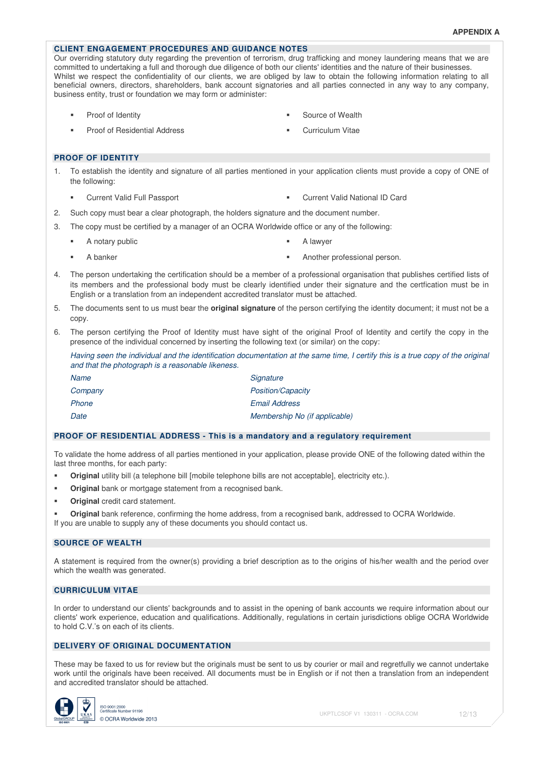### **CLIENT ENGAGEMENT PROCEDURES AND GUIDANCE NOTES**

Our overriding statutory duty regarding the prevention of terrorism, drug trafficking and money laundering means that we are committed to undertaking a full and thorough due diligence of both our clients' identities and the nature of their businesses. Whilst we respect the confidentiality of our clients, we are obliged by law to obtain the following information relating to all beneficial owners, directors, shareholders, bank account signatories and all parties connected in any way to any company, business entity, trust or foundation we may form or administer:

- 
- Proof of Identity **Source of Wealth Source of Wealth**
- Proof of Residential Address **Curriculum Vitae** Curriculum Vitae
- 

#### **PROOF OF IDENTITY**

- 1. To establish the identity and signature of all parties mentioned in your application clients must provide a copy of ONE of the following:
	- Current Valid Full Passport Current Valid National ID Card
- 2. Such copy must bear a clear photograph, the holders signature and the document number.
- 3. The copy must be certified by a manager of an OCRA Worldwide office or any of the following:
	- A notary public **A** lawyer
- 

- 
- A banker **Analyze Another professional person.** Another professional person.
- 4. The person undertaking the certification should be a member of a professional organisation that publishes certified lists of its members and the professional body must be clearly identified under their signature and the certfication must be in English or a translation from an independent accredited translator must be attached.
- 5. The documents sent to us must bear the **original signature** of the person certifying the identity document; it must not be a copy.
- 6. The person certifying the Proof of Identity must have sight of the original Proof of Identity and certify the copy in the presence of the individual concerned by inserting the following text (or similar) on the copy:

Having seen the individual and the identification documentation at the same time, I certify this is a true copy of the original and that the photograph is a reasonable likeness.

| Name    | Signature                     |
|---------|-------------------------------|
| Company | <b>Position/Capacity</b>      |
| Phone   | <b>Email Address</b>          |
| Date    | Membership No (if applicable) |

#### **PROOF OF RESIDENTIAL ADDRESS - This is a mandatory and a regulatory requirement**

To validate the home address of all parties mentioned in your application, please provide ONE of the following dated within the last three months, for each party:

- **•** Original utility bill (a telephone bill [mobile telephone bills are not acceptable], electricity etc.).
- **Original** bank or mortgage statement from a recognised bank.
- **Original** credit card statement.
- **Original** bank reference, confirming the home address, from a recognised bank, addressed to OCRA Worldwide. If you are unable to supply any of these documents you should contact us.

#### **SOURCE OF WEALTH**

A statement is required from the owner(s) providing a brief description as to the origins of his/her wealth and the period over which the wealth was generated.

#### **CURRICULUM VITAE**

In order to understand our clients' backgrounds and to assist in the opening of bank accounts we require information about our clients' work experience, education and qualifications. Additionally, regulations in certain jurisdictions oblige OCRA Worldwide to hold C.V.'s on each of its clients.

### **DELIVERY OF ORIGINAL DOCUMENTATION**

These may be faxed to us for review but the originals must be sent to us by courier or mail and regretfully we cannot undertake work until the originals have been received. All documents must be in English or if not then a translation from an independent and accredited translator should be attached.